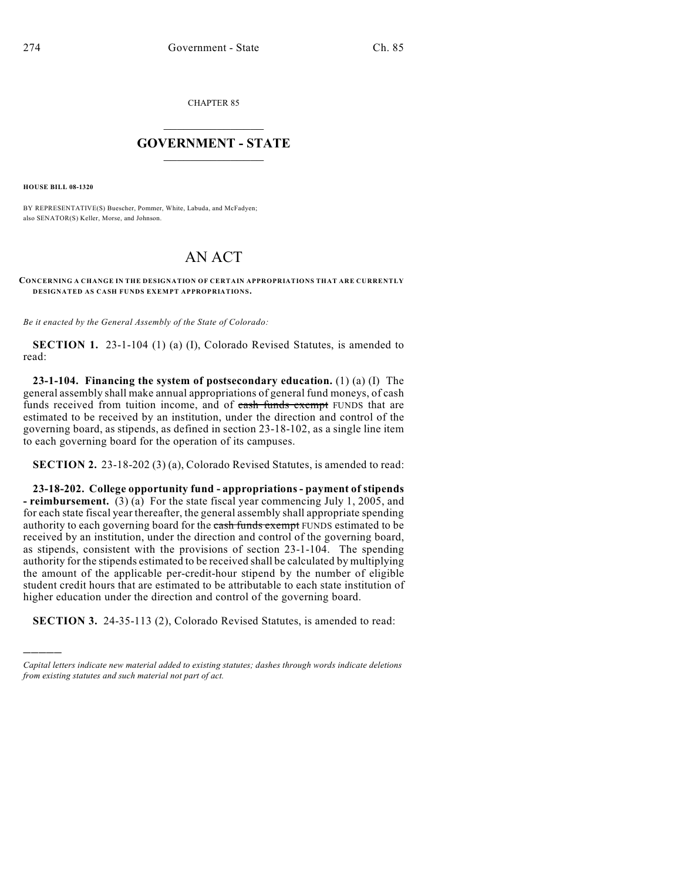CHAPTER 85

## $\mathcal{L}_\text{max}$  . The set of the set of the set of the set of the set of the set of the set of the set of the set of the set of the set of the set of the set of the set of the set of the set of the set of the set of the set **GOVERNMENT - STATE**  $\_$   $\_$   $\_$   $\_$   $\_$   $\_$   $\_$   $\_$

**HOUSE BILL 08-1320**

)))))

BY REPRESENTATIVE(S) Buescher, Pommer, White, Labuda, and McFadyen; also SENATOR(S) Keller, Morse, and Johnson.

## AN ACT

## **CONCERNING A CHANGE IN THE DESIGNATION OF CERTAIN APPROPRIATIONS THAT ARE CURRENTLY DESIGNATED AS CASH FUNDS EXEMPT APPROPRIATIONS.**

*Be it enacted by the General Assembly of the State of Colorado:*

**SECTION 1.** 23-1-104 (1) (a) (I), Colorado Revised Statutes, is amended to read:

**23-1-104. Financing the system of postsecondary education.** (1) (a) (I) The general assembly shall make annual appropriations of general fund moneys, of cash funds received from tuition income, and of cash funds exempt FUNDS that are estimated to be received by an institution, under the direction and control of the governing board, as stipends, as defined in section 23-18-102, as a single line item to each governing board for the operation of its campuses.

**SECTION 2.** 23-18-202 (3) (a), Colorado Revised Statutes, is amended to read:

**23-18-202. College opportunity fund - appropriations - payment of stipends - reimbursement.** (3) (a) For the state fiscal year commencing July 1, 2005, and for each state fiscal year thereafter, the general assembly shall appropriate spending authority to each governing board for the cash funds exempt FUNDS estimated to be received by an institution, under the direction and control of the governing board, as stipends, consistent with the provisions of section 23-1-104. The spending authority for the stipends estimated to be received shall be calculated by multiplying the amount of the applicable per-credit-hour stipend by the number of eligible student credit hours that are estimated to be attributable to each state institution of higher education under the direction and control of the governing board.

**SECTION 3.** 24-35-113 (2), Colorado Revised Statutes, is amended to read:

*Capital letters indicate new material added to existing statutes; dashes through words indicate deletions from existing statutes and such material not part of act.*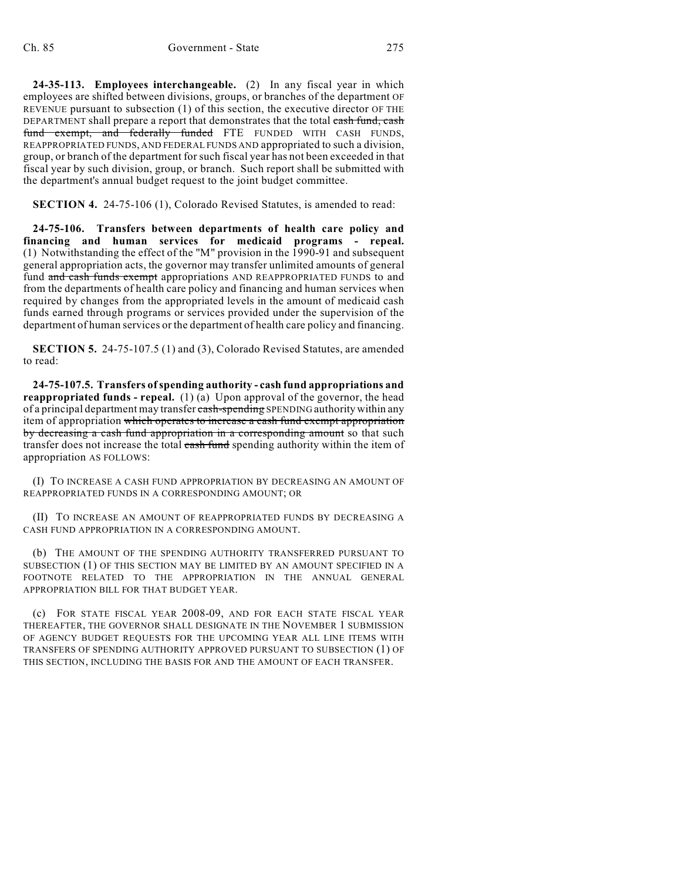**24-35-113. Employees interchangeable.** (2) In any fiscal year in which employees are shifted between divisions, groups, or branches of the department OF REVENUE pursuant to subsection (1) of this section, the executive director OF THE DEPARTMENT shall prepare a report that demonstrates that the total cash fund, cash fund exempt, and federally funded FTE FUNDED WITH CASH FUNDS, REAPPROPRIATED FUNDS, AND FEDERAL FUNDS AND appropriated to such a division, group, or branch of the department for such fiscal year has not been exceeded in that fiscal year by such division, group, or branch. Such report shall be submitted with the department's annual budget request to the joint budget committee.

**SECTION 4.** 24-75-106 (1), Colorado Revised Statutes, is amended to read:

**24-75-106. Transfers between departments of health care policy and financing and human services for medicaid programs - repeal.** (1) Notwithstanding the effect of the "M" provision in the 1990-91 and subsequent general appropriation acts, the governor may transfer unlimited amounts of general fund and cash funds exempt appropriations AND REAPPROPRIATED FUNDS to and from the departments of health care policy and financing and human services when required by changes from the appropriated levels in the amount of medicaid cash funds earned through programs or services provided under the supervision of the department of human services or the department of health care policy and financing.

**SECTION 5.** 24-75-107.5 (1) and (3), Colorado Revised Statutes, are amended to read:

**24-75-107.5. Transfers of spending authority - cash fund appropriations and reappropriated funds - repeal.** (1) (a) Upon approval of the governor, the head of a principal department may transfer cash-spending SPENDING authority within any item of appropriation which operates to increase a cash fund exempt appropriation by decreasing a cash fund appropriation in a corresponding amount so that such transfer does not increase the total cash fund spending authority within the item of appropriation AS FOLLOWS:

(I) TO INCREASE A CASH FUND APPROPRIATION BY DECREASING AN AMOUNT OF REAPPROPRIATED FUNDS IN A CORRESPONDING AMOUNT; OR

(II) TO INCREASE AN AMOUNT OF REAPPROPRIATED FUNDS BY DECREASING A CASH FUND APPROPRIATION IN A CORRESPONDING AMOUNT.

(b) THE AMOUNT OF THE SPENDING AUTHORITY TRANSFERRED PURSUANT TO SUBSECTION (1) OF THIS SECTION MAY BE LIMITED BY AN AMOUNT SPECIFIED IN A FOOTNOTE RELATED TO THE APPROPRIATION IN THE ANNUAL GENERAL APPROPRIATION BILL FOR THAT BUDGET YEAR.

(c) FOR STATE FISCAL YEAR 2008-09, AND FOR EACH STATE FISCAL YEAR THEREAFTER, THE GOVERNOR SHALL DESIGNATE IN THE NOVEMBER 1 SUBMISSION OF AGENCY BUDGET REQUESTS FOR THE UPCOMING YEAR ALL LINE ITEMS WITH TRANSFERS OF SPENDING AUTHORITY APPROVED PURSUANT TO SUBSECTION (1) OF THIS SECTION, INCLUDING THE BASIS FOR AND THE AMOUNT OF EACH TRANSFER.